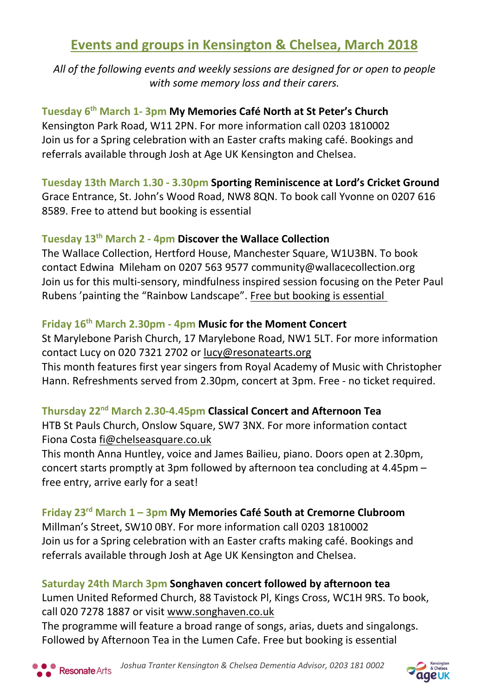# **Events and groups in Kensington & Chelsea, March 2018**

*All of the following events and weekly sessions are designed for or open to people with some memory loss and their carers.*

**Tuesday 6 th March 1- 3pm My Memories Café North at St Peter's Church** Kensington Park Road, W11 2PN. For more information call 0203 1810002 Join us for a Spring celebration with an Easter crafts making café. Bookings and referrals available through Josh at Age UK Kensington and Chelsea.

**Tuesday 13th March 1.30 - 3.30pm Sporting Reminiscence at Lord's Cricket Ground** Grace Entrance, St. John's Wood Road, NW8 8QN. To book call Yvonne on 0207 616 8589. Free to attend but booking is essential

# **Tuesday 13th March 2 - 4pm Discover the Wallace Collection**

The Wallace Collection, Hertford House, Manchester Square, W1U3BN. To book contact Edwina Mileham on 0207 563 9577 community@wallacecollection.org Join us for this multi-sensory, mindfulness inspired session focusing on the Peter Paul Rubens 'painting the "Rainbow Landscape". Free but booking is essential

## **Friday 16th March 2.30pm - 4pm Music for the Moment Concert**

St Marylebone Parish Church, 17 Marylebone Road, NW1 5LT. For more information contact Lucy on 020 7321 2702 or [lucy@resonatearts.org](mailto:lucy@resonatearts.org)  This month features first year singers from Royal Academy of Music with Christopher Hann. Refreshments served from 2.30pm, concert at 3pm. Free - no ticket required.

### **Thursday 22nd March 2.30-4.45pm Classical Concert and Afternoon Tea**

HTB St Pauls Church, Onslow Square, SW7 3NX. For more information contact Fiona Costa [fi@chelseasquare.co.uk](mailto:fi@chelseasquare.co.uk)

This month Anna Huntley, voice and James Bailieu, piano. Doors open at 2.30pm, concert starts promptly at 3pm followed by afternoon tea concluding at 4.45pm – free entry, arrive early for a seat!

# **Friday 23 rd March 1 – 3pm My Memories Café South at Cremorne Clubroom**

Millman's Street, SW10 0BY. For more information call 0203 1810002 Join us for a Spring celebration with an Easter crafts making café. Bookings and referrals available through Josh at Age UK Kensington and Chelsea.

### **Saturday 24th March 3pm Songhaven concert followed by afternoon tea**

Lumen United Reformed Church, 88 Tavistock Pl, Kings Cross, WC1H 9RS. To book, call 020 7278 1887 or visit [www.songhaven.co.uk](http://www.songhaven.co.uk/)

The programme will feature a broad range of songs, arias, duets and singalongs. Followed by Afternoon Tea in the Lumen Cafe. Free but booking is essential

ŗ